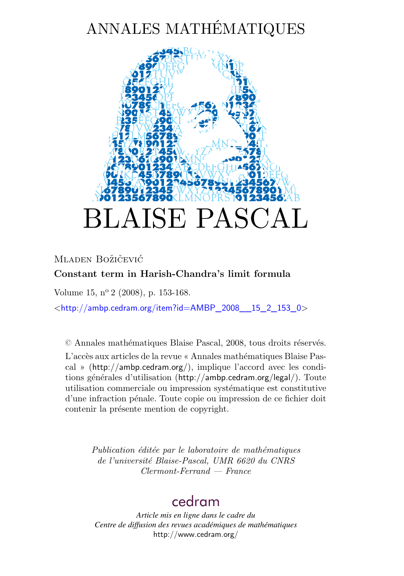# ANNALES MATHÉMATIQUES



# Mladen Božičević **Constant term in Harish-Chandra's limit formula**

Volume 15, nº 2 (2008), p. 153-168.

 $\lt$ [http://ambp.cedram.org/item?id=AMBP\\_2008\\_\\_15\\_2\\_153\\_0](http://ambp.cedram.org/item?id=AMBP_2008__15_2_153_0)>

© Annales mathématiques Blaise Pascal, 2008, tous droits réservés.

L'accès aux articles de la revue « Annales mathématiques Blaise Pascal » (<http://ambp.cedram.org/>), implique l'accord avec les conditions générales d'utilisation (<http://ambp.cedram.org/legal/>). Toute utilisation commerciale ou impression systématique est constitutive d'une infraction pénale. Toute copie ou impression de ce fichier doit contenir la présente mention de copyright.

> *Publication éditée par le laboratoire de mathématiques de l'université Blaise-Pascal, UMR 6620 du CNRS Clermont-Ferrand — France*

# [cedram](http://www.cedram.org/)

*Article mis en ligne dans le cadre du Centre de diffusion des revues académiques de mathématiques* <http://www.cedram.org/>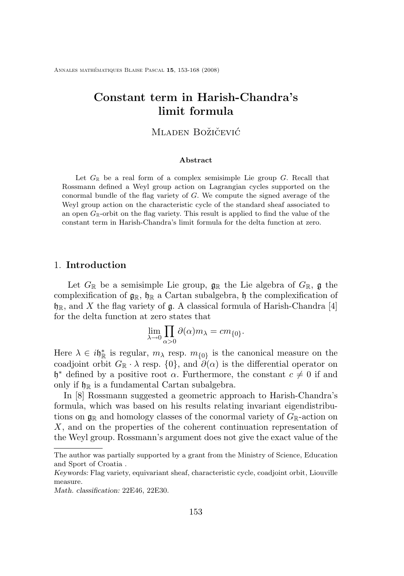Annales mathématiques Blaise Pascal **15**, 153-168 (2008)

# **Constant term in Harish-Chandra's limit formula**

# Mladen Božičević

#### **Abstract**

Let  $G_{\mathbb{R}}$  be a real form of a complex semisimple Lie group  $G$ . Recall that Rossmann defined a Weyl group action on Lagrangian cycles supported on the conormal bundle of the flag variety of G. We compute the signed average of the Weyl group action on the characteristic cycle of the standard sheaf associated to an open  $G_{\mathbb{R}}$ -orbit on the flag variety. This result is applied to find the value of the constant term in Harish-Chandra's limit formula for the delta function at zero.

### 1. **Introduction**

Let  $G_{\mathbb{R}}$  be a semisimple Lie group,  $\mathfrak{g}_{\mathbb{R}}$  the Lie algebra of  $G_{\mathbb{R}}$ , g the complexification of  $g_{\mathbb{R}}$ ,  $h_{\mathbb{R}}$  a Cartan subalgebra, h the complexification of  $\mathfrak{h}_\mathbb{R}$ , and X the flag variety of  $\mathfrak{g}$ . A classical formula of Harish-Chandra [\[4\]](#page-15-0) for the delta function at zero states that

$$
\lim_{\lambda \to 0} \prod_{\alpha > 0} \partial(\alpha) m_{\lambda} = c m_{\{0\}}.
$$

Here  $\lambda \in i\mathfrak{h}_{\mathbb{R}}^*$  is regular,  $m_\lambda$  resp.  $m_{\{0\}}$  is the canonical measure on the coadjoint orbit  $G_{\mathbb{R}} \cdot \lambda$  resp.  $\{0\}$ , and  $\partial(\alpha)$  is the differential operator on  $\mathfrak{h}^*$  defined by a positive root  $\alpha$ . Furthermore, the constant  $c \neq 0$  if and only if  $\mathfrak{h}_{\mathbb{R}}$  is a fundamental Cartan subalgebra.

In [\[8\]](#page-16-0) Rossmann suggested a geometric approach to Harish-Chandra's formula, which was based on his results relating invariant eigendistributions on  $\mathfrak{g}_{\mathbb{R}}$  and homology classes of the conormal variety of  $G_{\mathbb{R}}$ -action on X, and on the properties of the coherent continuation representation of the Weyl group. Rossmann's argument does not give the exact value of the

The author was partially supported by a grant from the Ministry of Science, Education and Sport of Croatia .

*Keywords:* Flag variety, equivariant sheaf, characteristic cycle, coadjoint orbit, Liouville measure.

*Math. classification:* 22E46, 22E30.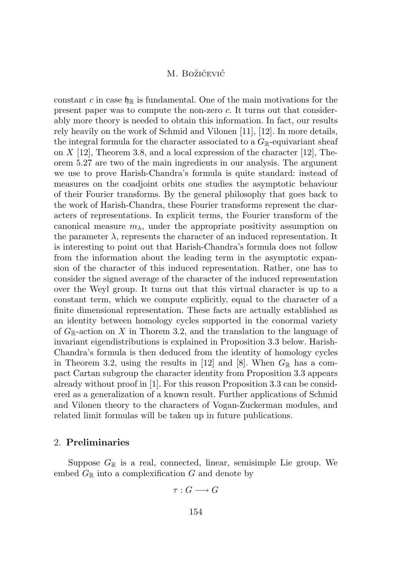constant c in case  $\mathfrak{h}_{\mathbb{R}}$  is fundamental. One of the main motivations for the present paper was to compute the non-zero c. It turns out that considerably more theory is needed to obtain this information. In fact, our results rely heavily on the work of Schmid and Vilonen [\[11\]](#page-16-0), [\[12\]](#page-16-0). In more details, the integral formula for the character associated to a  $G_{\mathbb{R}}$ -equivariant sheaf on  $X$  [\[12\]](#page-16-0), Theorem 3.8, and a local expression of the character [12], Theorem 5.27 are two of the main ingredients in our analysis. The argument we use to prove Harish-Chandra's formula is quite standard: instead of measures on the coadjoint orbits one studies the asymptotic behaviour of their Fourier transforms. By the general philosophy that goes back to the work of Harish-Chandra, these Fourier transforms represent the characters of representations. In explicit terms, the Fourier transform of the canonical measure  $m_{\lambda}$ , under the appropriate positivity assumption on the parameter  $\lambda$ , represents the character of an induced representation. It is interesting to point out that Harish-Chandra's formula does not follow from the information about the leading term in the asymptotic expansion of the character of this induced representation. Rather, one has to consider the signed average of the character of the induced representation over the Weyl group. It turns out that this virtual character is up to a constant term, which we compute explicitly, equal to the character of a finite dimensional representation. These facts are actually established as an identity between homology cycles supported in the conormal variety of  $G_{\mathbb{R}}$ -action on X in Thorem 3.2, and the translation to the language of invariant eigendistributions is explained in Proposition 3.3 below. Harish-Chandra's formula is then deduced from the identity of homology cycles in Theorem 3.2, using the results in [\[12\]](#page-16-0) and [\[8\]](#page-16-0). When  $G_{\mathbb{R}}$  has a compact Cartan subgroup the character identity from Proposition 3.3 appears already without proof in [\[1\]](#page-15-0). For this reason Proposition 3.3 can be considered as a generalization of a known result. Further applications of Schmid and Vilonen theory to the characters of Vogan-Zuckerman modules, and related limit formulas will be taken up in future publications.

# 2. **Preliminaries**

Suppose  $G_{\mathbb{R}}$  is a real, connected, linear, semisimple Lie group. We embed  $G_{\mathbb{R}}$  into a complexification G and denote by

$$
\tau: G \longrightarrow G
$$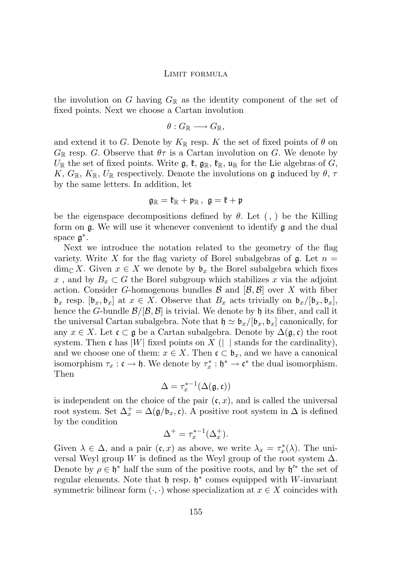the involution on G having  $G_{\mathbb{R}}$  as the identity component of the set of fixed points. Next we choose a Cartan involution

$$
\theta:G_\mathbb{R}\longrightarrow G_\mathbb{R},
$$

and extend it to G. Denote by  $K_{\mathbb{R}}$  resp. K the set of fixed points of  $\theta$  on  $G_{\mathbb{R}}$  resp. G. Observe that  $\theta\tau$  is a Cartan involution on G. We denote by  $U_{\mathbb{R}}$  the set of fixed points. Write  $\mathfrak{g}, \mathfrak{k}, \mathfrak{g}_{\mathbb{R}}, \mathfrak{k}_{\mathbb{R}}, \mathfrak{u}_{\mathbb{R}}$  for the Lie algebras of  $G$ , K,  $G_{\mathbb{R}}$ ,  $K_{\mathbb{R}}$ ,  $U_{\mathbb{R}}$  respectively. Denote the involutions on g induced by  $\theta$ ,  $\tau$ by the same letters. In addition, let

$$
\mathfrak{g}_{\mathbb{R}}=\mathfrak{k}_{\mathbb{R}}+\mathfrak{p}_{\mathbb{R}}\,,\ \mathfrak{g}=\mathfrak{k}+\mathfrak{p}
$$

be the eigenspace decompositions defined by  $\theta$ . Let (, ) be the Killing form on g. We will use it whenever convenient to identify g and the dual space  $\mathfrak{g}^*$ .

Next we introduce the notation related to the geometry of the flag variety. Write X for the flag variety of Borel subalgebras of  $\mathfrak{g}$ . Let  $n =$  $\dim_{\mathbb{C}} X$ . Given  $x \in X$  we denote by  $\mathfrak{b}_x$  the Borel subalgebra which fixes x, and by  $B_x \subset G$  the Borel subgroup which stabilizes x via the adjoint action. Consider G-homogenous bundles  $\mathcal{B}$  and  $[\mathcal{B}, \mathcal{B}]$  over X with fiber  $\mathfrak{b}_x$  resp.  $[\mathfrak{b}_x, \mathfrak{b}_x]$  at  $x \in X$ . Observe that  $B_x$  acts trivially on  $\mathfrak{b}_x/[\mathfrak{b}_x, \mathfrak{b}_x]$ , hence the G-bundle  $\mathcal{B}/[\mathcal{B}, \mathcal{B}]$  is trivial. We denote by h its fiber, and call it the universal Cartan subalgebra. Note that  $\mathfrak{h} \simeq \mathfrak{b}_x/[\mathfrak{b}_x, \mathfrak{b}_x]$  canonically, for any  $x \in X$ . Let  $\mathfrak{c} \subset \mathfrak{g}$  be a Cartan subalgebra. Denote by  $\Delta(\mathfrak{g}, \mathfrak{c})$  the root system. Then c has |W| fixed points on X (| | stands for the cardinality), and we choose one of them:  $x \in X$ . Then  $\mathfrak{c} \subset \mathfrak{b}_x$ , and we have a canonical isomorphism  $\tau_x : \mathfrak{c} \to \mathfrak{h}$ . We denote by  $\tau_x^* : \mathfrak{h}^* \to \mathfrak{c}^*$  the dual isomorphism. Then

$$
\Delta = \tau_x^{*-1}(\Delta(\mathfrak{g}, \mathfrak{c}))
$$

is independent on the choice of the pair  $(c, x)$ , and is called the universal root system. Set  $\Delta_x^+ = \Delta(\mathfrak{g}/\mathfrak{b}_x, \mathfrak{c})$ . A positive root system in  $\Delta$  is defined by the condition

$$
\Delta^+ = \tau_x^{*-1}(\Delta_x^+).
$$

Given  $\lambda \in \Delta$ , and a pair  $(\mathfrak{c},x)$  as above, we write  $\lambda_x = \tau_x^*(\lambda)$ . The universal Weyl group W is defined as the Weyl group of the root system  $\Delta$ . Denote by  $\rho \in \mathfrak{h}^*$  half the sum of the positive roots, and by  $\mathfrak{h}'^*$  the set of regular elements. Note that  $\mathfrak h$  resp.  $\mathfrak h^*$  comes equipped with W-invariant symmetric bilinear form  $(\cdot, \cdot)$  whose specialization at  $x \in X$  coincides with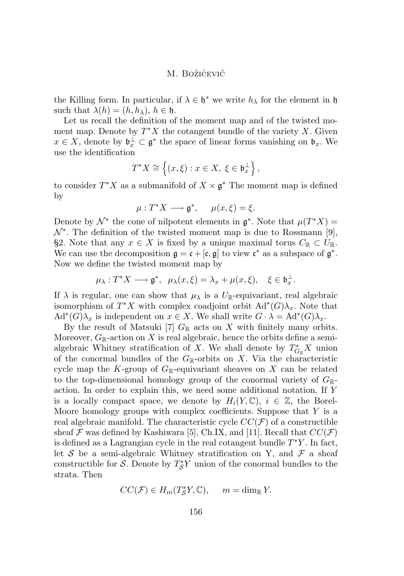the Killing form. In particular, if  $\lambda \in \mathfrak{h}^*$  we write  $h_{\lambda}$  for the element in  $\mathfrak{h}$ such that  $\lambda(h) = (h, h_\lambda), h \in \mathfrak{h}$ .

Let us recall the definition of the moment map and of the twisted moment map. Denote by  $T^*X$  the cotangent bundle of the variety X. Given  $x \in X$ , denote by  $\mathfrak{b}_x^{\perp} \subset \mathfrak{g}^*$  the space of linear forms vanishing on  $\mathfrak{b}_x$ . We use the identification

$$
T^*X \cong \left\{ (x,\xi) : x \in X, \ \xi \in \mathfrak{b}_x^\perp \right\},\
$$

to consider  $T^*X$  as a submanifold of  $X \times \mathfrak{g}^*$  The moment map is defined by

$$
\mu: T^*X \longrightarrow \mathfrak{g}^*, \quad \mu(x,\xi) = \xi.
$$

Denote by  $\mathcal{N}^*$  the cone of nilpotent elements in  $\mathfrak{g}^*$ . Note that  $\mu(T^*X)$  =  $\mathcal{N}^*$ . The definition of the twisted moment map is due to Rossmann [\[9\]](#page-16-0), §2. Note that any  $x \in X$  is fixed by a unique maximal torus  $C_{\mathbb{R}} \subset U_{\mathbb{R}}$ . We can use the decomposition  $\mathfrak{g} = \mathfrak{c} + [\mathfrak{c}, \mathfrak{g}]$  to view  $\mathfrak{c}^*$  as a subspace of  $\mathfrak{g}^*$ . Now we define the twisted moment map by

$$
\mu_{\lambda}: T^*X \longrightarrow \mathfrak{g}^*, \ \ \mu_{\lambda}(x,\xi) = \lambda_x + \mu(x,\xi), \quad \xi \in \mathfrak{b}_x^{\perp}.
$$

If  $\lambda$  is regular, one can show that  $\mu_{\lambda}$  is a  $U_{\mathbb{R}}$ -equivariant, real algebraic isomorphism of  $T^*X$  with complex coadjoint orbit  $\text{Ad}^*(G)\lambda_x$ . Note that  $\mathrm{Ad}^*(G)\lambda_x$  is independent on  $x \in X$ . We shall write  $G \cdot \lambda = \mathrm{Ad}^*(G)\lambda_x$ .

By the result of Matsuki [\[7\]](#page-16-0)  $G_{\mathbb{R}}$  acts on X with finitely many orbits. Moreover,  $G_{\mathbb{R}}$ -action on X is real algebraic, hence the orbits define a semialgebraic Whitney stratification of X. We shall denote by  $T_{G_{\mathbb{R}}}^* X$  union of the conormal bundles of the  $G_{\mathbb{R}}$ -orbits on X. Via the characteristic cycle map the K-group of  $G_{\mathbb{R}}$ -equivariant sheaves on X can be related to the top-dimensional homology group of the conormal variety of  $G_{\mathbb{R}}$ action. In order to explain this, we need some additional notation. If Y is a locally compact space, we denote by  $H_i(Y, \mathbb{C}), i \in \mathbb{Z}$ , the Borel-Moore homology groups with complex coefficients. Suppose that  $Y$  is a real algebraic manifold. The characteristic cycle  $CC(\mathcal{F})$  of a constructible sheaf  $\mathcal F$  was defined by Kashiwara [\[5\]](#page-15-0), Ch.IX, and [\[11\]](#page-16-0). Recall that  $CC(\mathcal F)$ is defined as a Lagrangian cycle in the real cotangent bundle  $T^*Y$ . In fact, let S be a semi-algebraic Whitney stratification on Y, and  $\mathcal F$  a sheaf constructible for S. Denote by  $T^*_{\mathcal{S}}Y$  union of the conormal bundles to the strata. Then

$$
CC(\mathcal{F}) \in H_m(T^*_\mathcal{S}Y, \mathbb{C}), \quad m = \dim_{\mathbb{R}} Y.
$$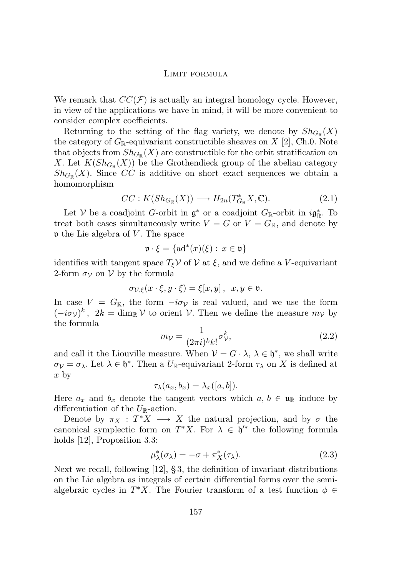<span id="page-5-0"></span>We remark that  $CC(\mathcal{F})$  is actually an integral homology cycle. However, in view of the applications we have in mind, it will be more convenient to consider complex coefficients.

Returning to the setting of the flag variety, we denote by  $Sh_{G_{\mathbb{R}}}(X)$ the category of  $G_{\mathbb{R}}$ -equivariant constructible sheaves on X [\[2\]](#page-15-0), Ch.0. Note that objects from  $\mathfrak{Sh}_{G_\mathbb{R}}(X)$  are constructible for the orbit stratification on X. Let  $K(Sh_{G_{\mathbb{R}}}(X))$  be the Grothendieck group of the abelian category  $Sh_{G_{\mathbb{R}}}(X)$ . Since CC is additive on short exact sequences we obtain a homomorphism

$$
CC: K(Sh_{G_{\mathbb{R}}}(X)) \longrightarrow H_{2n}(T^*_{G_{\mathbb{R}}}X, \mathbb{C}).
$$
\n(2.1)

Let V be a coadjoint G-orbit in  $\mathfrak{g}^*$  or a coadjoint  $G_{\mathbb{R}}$ -orbit in  $i\mathfrak{g}^*_{\mathbb{R}}$ . To treat both cases simultaneously write  $V = G$  or  $V = G_{\mathbb{R}}$ , and denote by  $\nu$  the Lie algebra of V. The space

$$
\mathfrak{v} \cdot \xi = \{ \mathrm{ad}^*(x)(\xi) : x \in \mathfrak{v} \}
$$

identifies with tangent space  $T_{\xi}$ V of V at  $\xi$ , and we define a V-equivariant 2-form  $\sigma_{\mathcal{V}}$  on  $\mathcal{V}$  by the formula

$$
\sigma_{\mathcal{V},\xi}(x\cdot\xi,y\cdot\xi)=\xi[x,y],\ \ x,y\in\mathfrak{v}.
$$

In case  $V = G_{\mathbb{R}}$ , the form  $-i\sigma_{\mathcal{V}}$  is real valued, and we use the form  $(-i\sigma_{\mathcal{V}})^k$ ,  $2k = \dim_{\mathbb{R}} \mathcal{V}$  to orient  $\mathcal{V}$ . Then we define the measure  $m_{\mathcal{V}}$  by the formula

$$
m_{\mathcal{V}} = \frac{1}{(2\pi i)^k k!} \sigma_{\mathcal{V}}^k,\tag{2.2}
$$

and call it the Liouville measure. When  $V = G \cdot \lambda$ ,  $\lambda \in \mathfrak{h}^*$ , we shall write  $\sigma_{\mathcal{V}} = \sigma_{\lambda}$ . Let  $\lambda \in \mathfrak{h}^*$ . Then a  $U_{\mathbb{R}}$ -equivariant 2-form  $\tau_{\lambda}$  on X is defined at x by

$$
\tau_{\lambda}(a_x, b_x) = \lambda_x([a, b]).
$$

Here  $a_x$  and  $b_x$  denote the tangent vectors which  $a, b \in \mathfrak{u}_{\mathbb{R}}$  induce by differentiation of the  $U_{\mathbb{R}}$ -action.

Denote by  $\pi_X : T^*X \longrightarrow X$  the natural projection, and by  $\sigma$  the canonical symplectic form on  $T^*X$ . For  $\lambda \in \mathfrak{h}'^*$  the following formula holds [\[12\]](#page-16-0), Proposition 3.3:

$$
\mu_{\lambda}^*(\sigma_{\lambda}) = -\sigma + \pi_X^*(\tau_{\lambda}). \tag{2.3}
$$

Next we recall, following [\[12\]](#page-16-0), § 3, the definition of invariant distributions on the Lie algebra as integrals of certain differential forms over the semialgebraic cycles in  $T^*X$ . The Fourier transform of a test function  $\phi \in$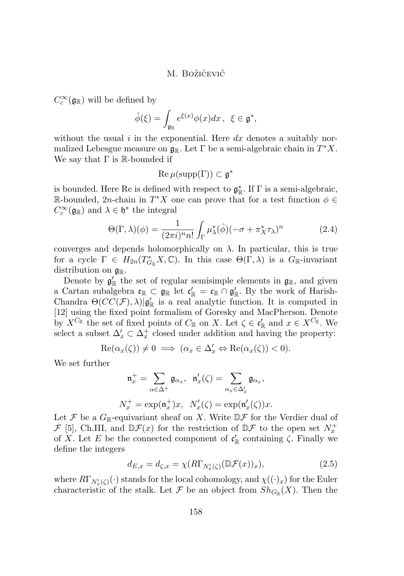<span id="page-6-0"></span> $C_c^\infty(\mathfrak{g}_{\mathbb{R}})$  will be defined by

$$
\hat{\phi}(\xi) = \int_{\mathfrak{g}_{\mathbb{R}}} e^{\xi(x)} \phi(x) dx \,, \xi \in \mathfrak{g}^*,
$$

without the usual  $i$  in the exponential. Here  $dx$  denotes a suitably normalized Lebesgue measure on  $\mathfrak{g}_{\mathbb{R}}$ . Let  $\Gamma$  be a semi-algebraic chain in  $T^*X$ . We say that  $\Gamma$  is R-bounded if

$$
\operatorname{Re}\mu(\operatorname{supp}(\Gamma))\subset\mathfrak{g}^*
$$

is bounded. Here Re is defined with respect to  $\mathfrak{g}_{\mathbb{R}}^*$ . If  $\Gamma$  is a semi-algebraic, R-bounded, 2n-chain in  $T^*X$  one can prove that for a test function  $\phi \in$  $C_c^{\infty}(\mathfrak{g}_{\mathbb{R}})$  and  $\lambda \in \mathfrak{h}^*$  the integral

$$
\Theta(\Gamma,\lambda)(\phi) = \frac{1}{(2\pi i)^n n!} \int_{\Gamma} \mu_{\lambda}^*(\hat{\phi}) (-\sigma + \pi_X^* \tau_{\lambda})^n \tag{2.4}
$$

converges and depends holomorphically on  $\lambda$ . In particular, this is true for a cycle  $\Gamma \in H_{2n}(T_{G_{\mathbb{R}}}^*X, \mathbb{C})$ . In this case  $\Theta(\Gamma, \lambda)$  is a  $G_{\mathbb{R}}$ -invariant distribution on  $\mathfrak{g}_{\mathbb{R}}$ .

Denote by  $\mathfrak{g}'_{\mathbb{R}}$  the set of regular semisimple elements in  $\mathfrak{g}_{\mathbb{R}}$ , and given a Cartan subalgebra  $\mathfrak{c}_\mathbb{R} \subset \mathfrak{g}_\mathbb{R}$  let  $\mathfrak{c}'_\mathbb{R} = \mathfrak{c}_\mathbb{R} \cap \mathfrak{g}'_\mathbb{R}$ . By the work of Harish-Chandra  $\Theta(CC(\mathcal{F}), \lambda)|\mathfrak{g}'_{\mathbb{R}}$  is a real analytic function. It is computed in [\[12\]](#page-16-0) using the fixed point formalism of Goresky and MacPherson. Denote by  $X^{C_{\mathbb{R}}}$  the set of fixed points of  $C_{\mathbb{R}}$  on X. Let  $\zeta \in \mathfrak{c}'_{\mathbb{R}}$  and  $x \in X^{C_{\mathbb{R}}}$ . We select a subset  $\Delta'_x \subset \Delta^+_x$  closed under addition and having the property:

$$
\operatorname{Re}(\alpha_x(\zeta)) \neq 0 \implies (\alpha_x \in \Delta'_x \Leftrightarrow \operatorname{Re}(\alpha_x(\zeta)) < 0).
$$

We set further

$$
\mathfrak{n}_x^+ = \sum_{\alpha \in \Delta^+} \mathfrak{g}_{\alpha_x}, \quad \mathfrak{n}_x'(\zeta) = \sum_{\alpha_x \in \Delta_x'} \mathfrak{g}_{\alpha_x},
$$

$$
N_x^+ = \exp(\mathfrak{n}_x^+)x, \quad N_x'(\zeta) = \exp(\mathfrak{n}_x'(\zeta))x.
$$

Let F be a  $G_{\mathbb{R}}$ -equivariant sheaf on X. Write  $\mathbb{D} \mathcal{F}$  for the Verdier dual of  $\mathcal{F}$  [\[5\]](#page-15-0), Ch.III, and  $\mathbb{D}\mathcal{F}(x)$  for the restriction of  $\mathbb{D}\mathcal{F}$  to the open set  $N_x^+$ of X. Let E be the connected component of  $\mathfrak{c}'_{\mathbb{R}}$  containing  $\zeta$ . Finally we define the integers

$$
d_{E,x} = d_{\zeta,x} = \chi(R\Gamma_{N'_x(\zeta)}(\mathbb{D}\mathcal{F}(x))_x),\tag{2.5}
$$

where  $R\Gamma_{N'_x(\zeta)}(\cdot)$  stands for the local cohomology, and  $\chi((\cdot)_x)$  for the Euler characteristic of the stalk. Let  $\mathcal F$  be an object from  $Sh_{G_{\mathbb R}}(X)$ . Then the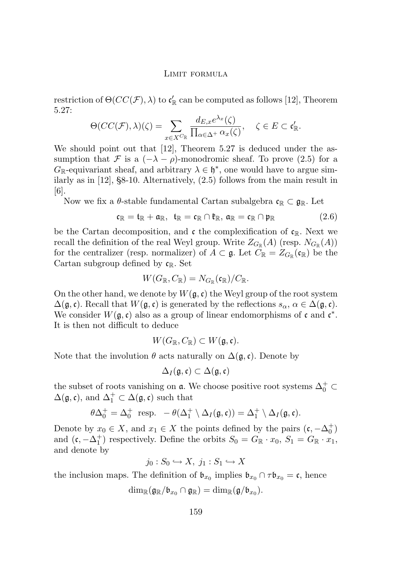restriction of  $\Theta(CC(\mathcal{F}), \lambda)$  to  $\mathfrak{c}'_{\mathbb{R}}$  can be computed as follows [\[12\]](#page-16-0), Theorem 5.27:

$$
\Theta(CC(\mathcal{F}),\lambda)(\zeta) = \sum_{x \in X^{C_{\mathbb{R}}}} \frac{d_{E,x}e^{\lambda_x}(\zeta)}{\prod_{\alpha \in \Delta^+} \alpha_x(\zeta)}, \quad \zeta \in E \subset \mathfrak{c}'_{\mathbb{R}}.
$$

We should point out that [\[12\]](#page-16-0), Theorem 5.27 is deduced under the assumption that F is a  $(-\lambda - \rho)$ -monodromic sheaf. To prove [\(2.5\)](#page-6-0) for a  $G_{\mathbb{R}}$ -equivariant sheaf, and arbitrary  $\lambda \in \mathfrak{h}^*$ , one would have to argue similarly as in [\[12\]](#page-16-0), §8-10. Alternatively, [\(2.5\)](#page-6-0) follows from the main result in [\[6\]](#page-15-0).

Now we fix a  $\theta$ -stable fundamental Cartan subalgebra  $\mathfrak{c}_\mathbb{R} \subset \mathfrak{g}_\mathbb{R}$ . Let

$$
\mathfrak{c}_\mathbb{R}=\mathfrak{t}_\mathbb{R}+\mathfrak{a}_\mathbb{R},\ \ \mathfrak{t}_\mathbb{R}=\mathfrak{c}_\mathbb{R}\cap\mathfrak{k}_\mathbb{R},\ \mathfrak{a}_\mathbb{R}=\mathfrak{c}_\mathbb{R}\cap\mathfrak{p}_\mathbb{R} \qquad \qquad (2.6)
$$

be the Cartan decomposition, and c the complexification of  $c_R$ . Next we recall the definition of the real Weyl group. Write  $Z_{G_{\mathbb{R}}}(A)$  (resp.  $N_{G_{\mathbb{R}}}(A)$ ) for the centralizer (resp. normalizer) of  $A \subset \mathfrak{g}$ . Let  $C_{\mathbb{R}} = Z_{G_{\mathbb{R}}}(\mathfrak{c}_{\mathbb{R}})$  be the Cartan subgroup defined by  $\mathfrak{c}_{\mathbb{R}}$ . Set

$$
W(G_{\mathbb{R}}, C_{\mathbb{R}}) = N_{G_{\mathbb{R}}}(\mathfrak{c}_{\mathbb{R}})/C_{\mathbb{R}}.
$$

On the other hand, we denote by  $W(\mathfrak{g},\mathfrak{c})$  the Weyl group of the root system  $\Delta(\mathfrak{g}, \mathfrak{c})$ . Recall that  $W(\mathfrak{g}, \mathfrak{c})$  is generated by the reflections  $s_{\alpha}, \alpha \in \Delta(\mathfrak{g}, \mathfrak{c})$ . We consider  $W(\mathfrak{g}, \mathfrak{c})$  also as a group of linear endomorphisms of  $\mathfrak{c}$  and  $\mathfrak{c}^*$ . It is then not difficult to deduce

$$
W(G_{\mathbb{R}}, C_{\mathbb{R}}) \subset W(\mathfrak{g}, \mathfrak{c}).
$$

Note that the involution  $\theta$  acts naturally on  $\Delta(\mathfrak{g}, \mathfrak{c})$ . Denote by

$$
\Delta_I({\mathfrak g},{\mathfrak c})\subset\Delta({\mathfrak g},{\mathfrak c})
$$

the subset of roots vanishing on  $\mathfrak a.$  We choose positive root systems  $\Delta_0^+ \subset$  $\Delta(\mathfrak{g}, \mathfrak{c})$ , and  $\Delta_1^+ \subset \Delta(\mathfrak{g}, \mathfrak{c})$  such that

$$
\theta \Delta_0^+ = \Delta_0^+ \text{ resp. } -\theta(\Delta_1^+ \setminus \Delta_I(\mathfrak{g}, \mathfrak{c})) = \Delta_1^+ \setminus \Delta_I(\mathfrak{g}, \mathfrak{c}).
$$

Denote by  $x_0 \in X$ , and  $x_1 \in X$  the points defined by the pairs  $(c, -\Delta_0^+)$ and  $(\mathfrak{c}, -\Delta_1^+)$  respectively. Define the orbits  $S_0 = G_{\mathbb{R}} \cdot x_0, S_1 = G_{\mathbb{R}} \cdot x_1$ , and denote by

$$
j_0: S_0 \hookrightarrow X, \ j_1: S_1 \hookrightarrow X
$$

the inclusion maps. The definition of  $\mathfrak{b}_{x_0}$  implies  $\mathfrak{b}_{x_0} \cap \tau \mathfrak{b}_{x_0} = \mathfrak{c}$ , hence

$$
\dim_{\mathbb{R}}(\mathfrak{g}_{\mathbb{R}}/\mathfrak{b}_{x_0}\cap\mathfrak{g}_{\mathbb{R}})=\dim_{\mathbb{R}}(\mathfrak{g}/\mathfrak{b}_{x_0}).
$$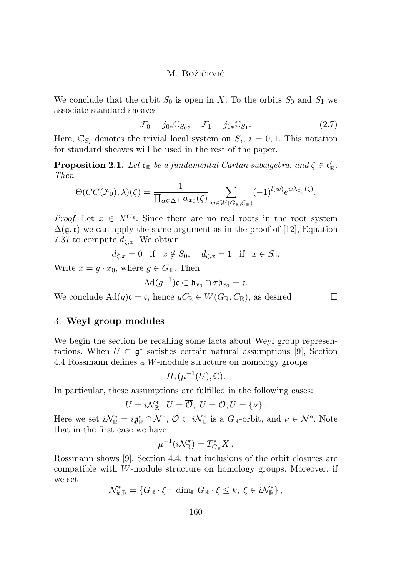<span id="page-8-0"></span>We conclude that the orbit  $S_0$  is open in X. To the orbits  $S_0$  and  $S_1$  we associate standard sheaves

$$
\mathcal{F}_0 = j_{0*} \mathbb{C}_{S_0}, \quad \mathcal{F}_1 = j_{1*} \mathbb{C}_{S_1}.
$$
 (2.7)

Here,  $\mathbb{C}_{S_i}$  denotes the trivial local system on  $S_i$ ,  $i = 0, 1$ . This notation for standard sheaves will be used in the rest of the paper.

**Proposition 2.1.** Let  $\mathfrak{c}_{\mathbb{R}}$  be a fundamental Cartan subalgebra, and  $\zeta \in \mathfrak{c}'_{\mathbb{R}}$ . *Then*

$$
\Theta(CC(\mathcal{F}_0), \lambda)(\zeta) = \frac{1}{\prod_{\alpha \in \Delta^+} \alpha_{x_0}(\zeta)} \sum_{w \in W(G_{\mathbb{R}}, C_{\mathbb{R}})} (-1)^{l(w)} e^{w\lambda_{x_0}(\zeta)}.
$$

*Proof.* Let  $x \in X^{C_{\mathbb{R}}}$ . Since there are no real roots in the root system  $\Delta(\mathfrak{g}, \mathfrak{c})$  we can apply the same argument as in the proof of [\[12\]](#page-16-0), Equation 7.37 to compute  $d_{\zeta,x}$ . We obtain

 $d_{\zeta,x} = 0$  if  $x \notin S_0$ ,  $d_{\zeta,x} = 1$  if  $x \in S_0$ .

Write  $x = q \cdot x_0$ , where  $q \in G_{\mathbb{R}}$ . Then

$$
\mathrm{Ad}(g^{-1})\mathfrak{c}\subset \mathfrak{b}_{x_0}\cap\tau\mathfrak{b}_{x_0}=\mathfrak{c}.
$$

We conclude  $\text{Ad}(g)\mathfrak{c} = \mathfrak{c}$ , hence  $gC_{\mathbb{R}} \in W(G_{\mathbb{R}}, C_{\mathbb{R}})$ , as desired.

## 3. **Weyl group modules**

We begin the section be recalling some facts about Weyl group representations. When  $U \subset \mathfrak{g}^*$  satisfies certain natural assumptions [\[9\]](#page-16-0), Section 4.4 Rossmann defines a W-module structure on homology groups

$$
H_*(\mu^{-1}(U),\mathbb{C}).
$$

In particular, these assumptions are fulfilled in the following cases:

$$
U = i\mathcal{N}_{\mathbb{R}}^*, U = \overline{\mathcal{O}}, U = \mathcal{O}, U = \{\nu\}.
$$

Here we set  $i\mathcal{N}_{\mathbb{R}}^* = i\mathfrak{g}_{\mathbb{R}}^* \cap \mathcal{N}^*, \mathcal{O} \subset i\mathcal{N}_{\mathbb{R}}^*$  is a  $G_{\mathbb{R}}$ -orbit, and  $\nu \in \mathcal{N}^*$ . Note that in the first case we have

$$
\mu^{-1}(i\mathcal{N}^*_{\mathbb{R}})=T^*_{G_{\mathbb{R}}}X.
$$

Rossmann shows [\[9\]](#page-16-0), Section 4.4, that inclusions of the orbit closures are compatible with W-module structure on homology groups. Moreover, if we set

 $\mathcal{N}_{k,\mathbb{R}}^* = \{ G_\mathbb{R} \cdot \xi : \dim_\mathbb{R} G_\mathbb{R} \cdot \xi \leq k, \ \xi \in i\mathcal{N}_{\mathbb{R}}^* \},$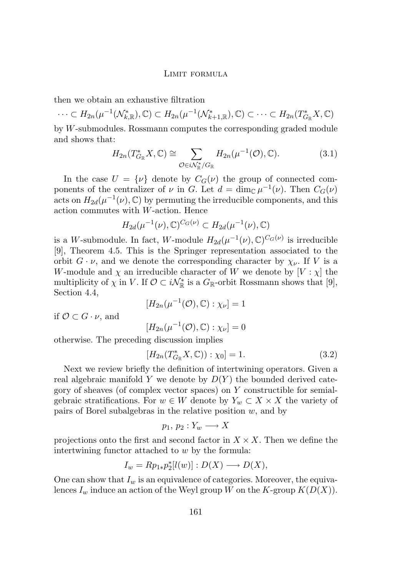<span id="page-9-0"></span>then we obtain an exhaustive filtration

 $\cdots \subset H_{2n}(\mu^{-1}(\mathcal{N}_{k,\mathbb{R}}^*), \mathbb{C}) \subset H_{2n}(\mu^{-1}(\mathcal{N}_{k+1,\mathbb{R}}^*), \mathbb{C}) \subset \cdots \subset H_{2n}(T_{G_{\mathbb{R}}}^*X, \mathbb{C})$ 

by W-submodules. Rossmann computes the corresponding graded module and shows that:

$$
H_{2n}(T_{G_{\mathbb{R}}}^* X, \mathbb{C}) \cong \sum_{\mathcal{O} \in i\mathcal{N}_{\mathbb{R}}^*/G_{\mathbb{R}}} H_{2n}(\mu^{-1}(\mathcal{O}), \mathbb{C}). \tag{3.1}
$$

In the case  $U = {\nu}$  denote by  $C_G(\nu)$  the group of connected components of the centralizer of  $\nu$  in G. Let  $d = \dim_{\mathbb{C}} \mu^{-1}(\nu)$ . Then  $C_G(\nu)$ acts on  $H_{2d}(\mu^{-1}(\nu), \mathbb{C})$  by permuting the irreducible components, and this action commutes with W-action. Hence

$$
H_{2d}(\mu^{-1}(\nu), \mathbb{C})^{C_G(\nu)} \subset H_{2d}(\mu^{-1}(\nu), \mathbb{C})
$$

is a W-submodule. In fact, W-module  $H_{2d}(\mu^{-1}(\nu), \mathbb{C})^{C_G(\nu)}$  is irreducible [\[9\]](#page-16-0), Theorem 4.5. This is the Springer representation associated to the orbit  $G \cdot \nu$ , and we denote the corresponding character by  $\chi_{\nu}$ . If V is a W-module and  $\chi$  an irreducible character of W we denote by  $[V : \chi]$  the multiplicity of  $\chi$  in V. If  $\mathcal{O} \subset i\mathcal{N}_{\mathbb{R}}^*$  is a  $G_{\mathbb{R}}$ -orbit Rossmann shows that [\[9\]](#page-16-0), Section 4.4,

$$
[H_{2n}(\mu^{-1}(\mathcal{O}),\mathbb{C}):\chi_{\nu}]=1
$$

if  $\mathcal{O} \subset G \cdot \nu$ , and

$$
[H_{2n}(\mu^{-1}(\mathcal{O}),\mathbb{C}):\chi_{\nu}]=0
$$

otherwise. The preceding discussion implies

$$
[H_{2n}(T_{G_{\mathbb{R}}}^*X, \mathbb{C})) : \chi_0] = 1.
$$
 (3.2)

Next we review briefly the definition of intertwining operators. Given a real algebraic manifold Y we denote by  $D(Y)$  the bounded derived category of sheaves (of complex vector spaces) on Y constructible for semialgebraic stratifications. For  $w \in W$  denote by  $Y_w \subset X \times X$  the variety of pairs of Borel subalgebras in the relative position  $w$ , and by

$$
p_1, p_2: Y_w \longrightarrow X
$$

projections onto the first and second factor in  $X \times X$ . Then we define the intertwining functor attached to w by the formula:

$$
I_w = Rp_{1*}p_2^*[l(w)] : D(X) \longrightarrow D(X),
$$

One can show that  $I_w$  is an equivalence of categories. Moreover, the equivalences  $I_w$  induce an action of the Weyl group W on the K-group  $K(D(X))$ .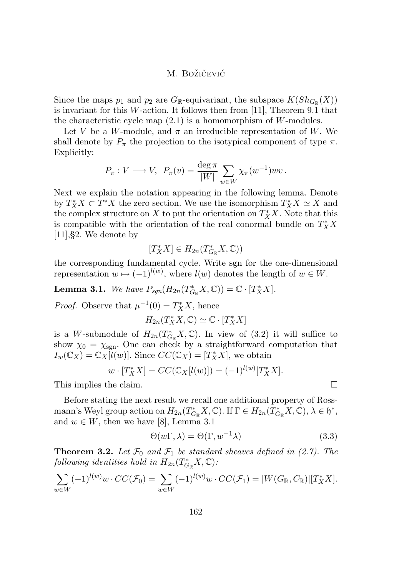<span id="page-10-0"></span>Since the maps  $p_1$  and  $p_2$  are  $G_{\mathbb{R}}$ -equivariant, the subspace  $K(Sh_{G_{\mathbb{R}}}(X))$ is invariant for this W-action. It follows then from [\[11\]](#page-16-0), Theorem 9.1 that the characteristic cycle map  $(2.1)$  is a homomorphism of W-modules.

Let V be a W-module, and  $\pi$  an irreducible representation of W. We shall denote by  $P_{\pi}$  the projection to the isotypical component of type  $\pi$ . Explicitly:

$$
P_{\pi}: V \longrightarrow V, \ P_{\pi}(v) = \frac{\deg \pi}{|W|} \sum_{w \in W} \chi_{\pi}(w^{-1}) wv.
$$

Next we explain the notation appearing in the following lemma. Denote by  $T_X^*X \subset T^*X$  the zero section. We use the isomorphism  $T_X^*X \simeq X$  and the complex structure on X to put the orientation on  $T^*_X X$ . Note that this is compatible with the orientation of the real conormal bundle on  $T^*_XX$  $[11], §2.$  $[11], §2.$  We denote by

$$
[T^*_XX]\in H_{2n}(T^*_{G_{\mathbb{R}}}X,\mathbb{C}))
$$

the corresponding fundamental cycle. Write sgn for the one-dimensional representation  $w \mapsto (-1)^{l(w)}$ , where  $l(w)$  denotes the length of  $w \in W$ .

**Lemma 3.1.** *We have*  $P_{sgn}(H_{2n}(T_{G_{\mathbb{R}}}^*X,\mathbb{C})) = \mathbb{C} \cdot [T_X^*X].$ 

*Proof.* Observe that  $\mu^{-1}(0) = T_X^* X$ , hence

 $H_{2n}(T^*_XX,\mathbb{C}) \simeq \mathbb{C} \cdot [T^*_XX]$ 

is a W-submodule of  $H_{2n}(T_{G_{\mathbb{R}}}^*X,\mathbb{C})$ . In view of [\(3.2\)](#page-9-0) it will suffice to show  $\chi_0 = \chi_{sgn}$ . One can check by a straightforward computation that  $I_w(\mathbb{C}_X) = \mathbb{C}_X[l(w)]$ . Since  $CC(\mathbb{C}_X) = [T_X^*X]$ , we obtain

$$
w \cdot [T_X^* X] = CC(\mathbb{C}_X[l(w)]) = (-1)^{l(w)} [T_X^* X].
$$

This implies the claim.

Before stating the next result we recall one additional property of Rossmann's Weyl group action on  $H_{2n}(T^*_{G_\mathbb{R}}X,\mathbb{C})$ . If  $\Gamma \in H_{2n}(T^*_{G_\mathbb{R}}X,\mathbb{C}), \lambda \in \mathfrak{h}^*$ , and  $w \in W$ , then we have [\[8\]](#page-16-0), Lemma 3.1

$$
\Theta(w\Gamma,\lambda) = \Theta(\Gamma,w^{-1}\lambda) \tag{3.3}
$$

**Theorem 3.2.** Let  $\mathcal{F}_0$  and  $\mathcal{F}_1$  be standard sheaves defined in [\(2.7\)](#page-8-0). The  $\emph{following identities hold in } H_{2n}(T_{G_{\mathbb{R}}}^{*}X,\mathbb{C})$ :

$$
\sum_{w \in W} (-1)^{l(w)} w \cdot CC(\mathcal{F}_0) = \sum_{w \in W} (-1)^{l(w)} w \cdot CC(\mathcal{F}_1) = |W(G_{\mathbb{R}}, C_{\mathbb{R}})| [T_X^* X].
$$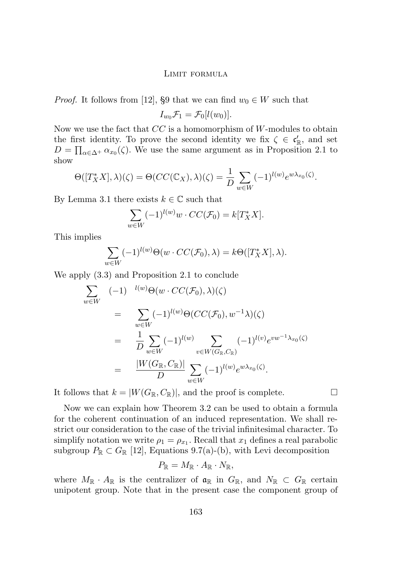*Proof.* It follows from [\[12\]](#page-16-0), §9 that we can find  $w_0 \in W$  such that

$$
I_{w_0}\mathcal{F}_1=\mathcal{F}_0[l(w_0)].
$$

Now we use the fact that  $CC$  is a homomorphism of W-modules to obtain the first identity. To prove the second identity we fix  $\zeta \in \mathfrak{c}'_{\mathbb{R}}$ , and set  $D = \prod_{\alpha \in \Delta^+} \alpha_{x_0}(\zeta)$ . We use the same argument as in Proposition 2.1 to show

$$
\Theta([T_X^*X],\lambda)(\zeta) = \Theta(CC(\mathbb{C}_X),\lambda)(\zeta) = \frac{1}{D} \sum_{w \in W} (-1)^{l(w)} e^{w\lambda_{x_0}(\zeta)}.
$$

By Lemma 3.1 there exists  $k \in \mathbb{C}$  such that

$$
\sum_{w \in W} (-1)^{l(w)} w \cdot CC(\mathcal{F}_0) = k[T_X^* X].
$$

This implies

$$
\sum_{w \in W} (-1)^{l(w)} \Theta(w \cdot CC(\mathcal{F}_0), \lambda) = k\Theta([T_X^*X], \lambda).
$$

We apply [\(3.3\)](#page-10-0) and Proposition 2.1 to conclude

$$
\sum_{w \in W} (-1)^{l(w)} \Theta(w \cdot CC(\mathcal{F}_0), \lambda)(\zeta)
$$
\n
$$
= \sum_{w \in W} (-1)^{l(w)} \Theta(CC(\mathcal{F}_0), w^{-1} \lambda)(\zeta)
$$
\n
$$
= \frac{1}{D} \sum_{w \in W} (-1)^{l(w)} \sum_{v \in W(G_{\mathbb{R}}, C_{\mathbb{R}})} (-1)^{l(v)} e^{vw^{-1} \lambda_{x_0}(\zeta)}
$$
\n
$$
= \frac{|W(G_{\mathbb{R}}, C_{\mathbb{R}})|}{D} \sum_{w \in W} (-1)^{l(w)} e^{w \lambda_{x_0}(\zeta)}.
$$

It follows that  $k = |W(G_{\mathbb{R}}, C_{\mathbb{R}})|$ , and the proof is complete.

Now we can explain how Theorem 3.2 can be used to obtain a formula for the coherent continuation of an induced representation. We shall restrict our consideration to the case of the trivial infinitesimal character. To simplify notation we write  $\rho_1 = \rho_{x_1}$ . Recall that  $x_1$  defines a real parabolic subgroup  $P_{\mathbb{R}} \subset G_{\mathbb{R}}$  [\[12\]](#page-16-0), Equations 9.7(a)-(b), with Levi decomposition

$$
P_{\mathbb{R}} = M_{\mathbb{R}} \cdot A_{\mathbb{R}} \cdot N_{\mathbb{R}},
$$

where  $M_{\mathbb{R}} \cdot A_{\mathbb{R}}$  is the centralizer of  $\mathfrak{a}_{\mathbb{R}}$  in  $G_{\mathbb{R}}$ , and  $N_{\mathbb{R}} \subset G_{\mathbb{R}}$  certain unipotent group. Note that in the present case the component group of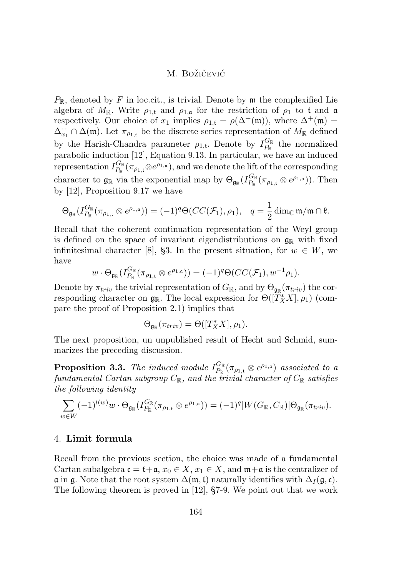$P_{\mathbb{R}}$ , denoted by F in loc.cit., is trivial. Denote by  $\mathfrak{m}$  the complexified Lie algebra of  $M_{\mathbb{R}}$ . Write  $\rho_{1,t}$  and  $\rho_{1,a}$  for the restriction of  $\rho_1$  to t and a respectively. Our choice of  $x_1$  implies  $\rho_{1,t} = \rho(\Delta^+(\mathfrak{m}))$ , where  $\Delta^+(\mathfrak{m}) =$  $\Delta_{x_1}^+ \cap \Delta(\mathfrak{m})$ . Let  $\pi_{\rho_{1,t}}$  be the discrete series representation of  $M_{\mathbb{R}}$  defined by the Harish-Chandra parameter  $\rho_{1,t}$ . Denote by  $I_{P_{\mathbb{P}}}^{G_{\mathbb{R}}}$  $P_{\mathbb{R}}^{\text{G}_{\mathbb{R}}}$  the normalized parabolic induction [\[12\]](#page-16-0), Equation 9.13. In particular, we have an induced representation  $I_{P_{\rm in}}^{G_{\mathbb{R}}}$  $\frac{G_{\mathbb{R}}}{P_{\mathbb{R}}}(\pi_{\rho_{1,\mathfrak{t}}}\otimes e^{\rho_{1,\mathfrak{a}}}),$  and we denote the lift of the corresponding character to  $\mathfrak{g}_{\mathbb{R}}$  via the exponential map by  $\Theta_{\mathfrak{g}_{\mathbb{R}}}(I_{P_{\mathbb{P}}}^{G_{\mathbb{R}}}$  $e_{P_{\mathbb{R}}}^{G_{\mathbb{R}}}(\pi_{\rho_{1,t}}\otimes e^{\rho_{1,a}})).$  Then by [\[12\]](#page-16-0), Proposition 9.17 we have

$$
\Theta_{\mathfrak{g}_{\mathbb{R}}}(I_{P_{\mathbb{R}}}^{G_{\mathbb{R}}}(\pi_{\rho_{1,t}}\otimes e^{\rho_{1,a}}))=(-1)^{q}\Theta(CC(\mathcal{F}_{1}),\rho_{1}),\quad q=\frac{1}{2}\dim_{\mathbb{C}}\mathfrak{m}/\mathfrak{m}\cap\mathfrak{k}.
$$

Recall that the coherent continuation representation of the Weyl group is defined on the space of invariant eigendistributions on  $\mathfrak{g}_{\mathbb{R}}$  with fixed infinitesimal character [\[8\]](#page-16-0), §3. In the present situation, for  $w \in W$ , we have

$$
w \cdot \Theta_{\mathfrak{g}_{\mathbb{R}}}(I_{P_{\mathbb{R}}}^{G_{\mathbb{R}}}(\pi_{\rho_{1,\mathfrak{t}}}\otimes e^{\rho_{1,\mathfrak{a}}})) = (-1)^q \Theta(CC(\mathcal{F}_1), w^{-1}\rho_1).
$$

Denote by  $\pi_{triv}$  the trivial representation of  $G_{\mathbb{R}}$ , and by  $\Theta_{\mathfrak{g}_{\mathbb{R}}}(\pi_{triv})$  the corresponding character on  $\mathfrak{g}_{\mathbb{R}}$ . The local expression for  $\Theta([\widetilde{T}_X^*X], \rho_1)$  (compare the proof of Proposition 2.1) implies that

$$
\Theta_{\mathfrak{g}_{\mathbb{R}}}(\pi_{triv}) = \Theta([T^*_XX], \rho_1).
$$

The next proposition, un unpublished result of Hecht and Schmid, summarizes the preceding discussion.

**Proposition 3.3.** The induced module  $I_{P_n}^{G_{\mathbb{R}}}$  $\frac{G_{\mathbb{R}}}{P_{\mathbb{R}}}(\pi_{\rho_{1,t}}\otimes e^{\rho_{1,a}})$  *associated to a*  $\emph{fundamental Cartan subgroup $C_{\mathbb R}$, and the trivial character of $C_{\mathbb R}$ satisfies}$ *the following identity*

$$
\sum_{w\in W} (-1)^{l(w)} w\cdot \Theta_{\mathfrak{g}_{\mathbb{R}}}(I_{P_{\mathbb{R}}}^{G_{\mathbb{R}}}(\pi_{\rho_{1,\mathfrak{t}}}\otimes e^{\rho_{1,\mathfrak{a}}}))=(-1)^{q}|W(G_{\mathbb{R}},C_{\mathbb{R}})|\Theta_{\mathfrak{g}_{\mathbb{R}}}(\pi_{triv}).
$$

## 4. **Limit formula**

Recall from the previous section, the choice was made of a fundamental Cartan subalgebra  $\mathfrak{c} = \mathfrak{t} + \mathfrak{a}, x_0 \in X, x_1 \in X$ , and  $\mathfrak{m} + \mathfrak{a}$  is the centralizer of  $\mathfrak a$  in  $\mathfrak g$ . Note that the root system  $\Delta(\mathfrak m, \mathfrak t)$  naturally identifies with  $\Delta_I(\mathfrak g, \mathfrak c)$ . The following theorem is proved in [\[12\]](#page-16-0), §7-9. We point out that we work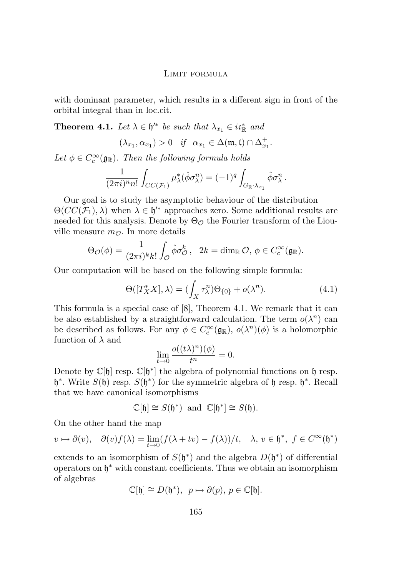<span id="page-13-0"></span>with dominant parameter, which results in a different sign in front of the orbital integral than in loc.cit.

**Theorem 4.1.** *Let*  $\lambda \in \mathfrak{h}'^*$  *be such that*  $\lambda_{x_1} \in i\mathfrak{c}_{\mathbb{R}}^*$  *and* 

$$
(\lambda_{x_1}, \alpha_{x_1}) > 0 \quad \text{if} \quad \alpha_{x_1} \in \Delta(\mathfrak{m}, \mathfrak{t}) \cap \Delta_{x_1}^+.
$$

Let  $\phi \in C_c^{\infty}(\mathfrak{g}_{\mathbb{R}})$ *. Then the following formula holds* 

$$
\frac{1}{(2\pi i)^n n!} \int_{CC(\mathcal{F}_1)} \mu_{\lambda}^*(\hat{\phi} \sigma_{\lambda}^n) = (-1)^q \int_{G_{\mathbb{R}} \cdot \lambda_{x_1}} \hat{\phi} \sigma_{\lambda}^n.
$$

Our goal is to study the asymptotic behaviour of the distribution  $\Theta(CC(\mathcal{F}_1), \lambda)$  when  $\lambda \in \mathfrak{h}'^*$  approaches zero. Some additional results are needed for this analysis. Denote by  $\Theta_{\mathcal{O}}$  the Fourier transform of the Liouville measure  $m_{\mathcal{O}}$ . In more details

$$
\Theta_{\mathcal{O}}(\phi) = \frac{1}{(2\pi i)^k k!} \int_{\mathcal{O}} \hat{\phi} \sigma_{\mathcal{O}}^k, \quad 2k = \dim_{\mathbb{R}} \mathcal{O}, \ \phi \in C_c^{\infty}(\mathfrak{g}_{\mathbb{R}}).
$$

Our computation will be based on the following simple formula:

$$
\Theta([T_X^*X], \lambda) = (\int_X \tau_\lambda^n) \Theta_{\{0\}} + o(\lambda^n). \tag{4.1}
$$

This formula is a special case of [\[8\]](#page-16-0), Theorem 4.1. We remark that it can be also established by a straightforward calculation. The term  $o(\lambda^n)$  can be described as follows. For any  $\phi \in C_c^{\infty}(\mathfrak{g}_{\mathbb{R}}), o(\lambda^n)(\phi)$  is a holomorphic function of  $\lambda$  and

$$
\lim_{t \to 0} \frac{o((t\lambda)^n)(\phi)}{t^n} = 0.
$$

Denote by  $\mathbb{C}[\mathfrak{h}]$  resp.  $\mathbb{C}[\mathfrak{h}^*]$  the algebra of polynomial functions on  $\mathfrak{h}$  resp.  $\mathfrak{h}^*$ . Write  $S(\mathfrak{h})$  resp.  $S(\mathfrak{h}^*)$  for the symmetric algebra of  $\mathfrak{h}$  resp.  $\mathfrak{h}^*$ . Recall that we have canonical isomorphisms

$$
\mathbb{C}[\mathfrak{h}] \cong S(\mathfrak{h}^*) \text{ and } \mathbb{C}[\mathfrak{h}^*] \cong S(\mathfrak{h}).
$$

On the other hand the map

$$
v \mapsto \partial(v), \quad \partial(v)f(\lambda) = \lim_{t \to 0} (f(\lambda + tv) - f(\lambda))/t, \quad \lambda, v \in \mathfrak{h}^*, \ f \in C^{\infty}(\mathfrak{h}^*)
$$

extends to an isomorphism of  $S(\mathfrak{h}^*)$  and the algebra  $D(\mathfrak{h}^*)$  of differential operators on h <sup>∗</sup> with constant coefficients. Thus we obtain an isomorphism of algebras

$$
\mathbb{C}[\mathfrak{h}] \cong D(\mathfrak{h}^*), \ \ p \mapsto \partial(p), \ p \in \mathbb{C}[\mathfrak{h}].
$$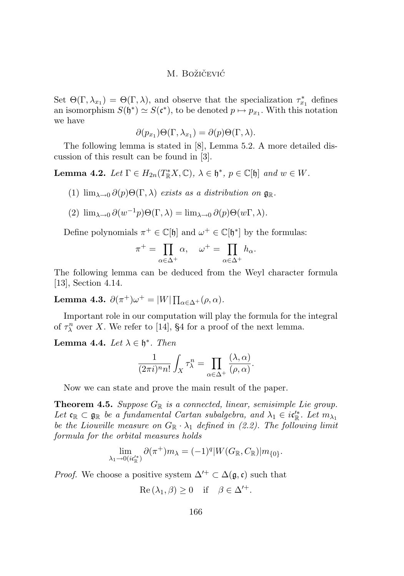Set  $\Theta(\Gamma, \lambda_{x_1}) = \Theta(\Gamma, \lambda)$ , and observe that the specialization  $\tau_{x_1}^*$  defines an isomorphism  $S(\mathfrak{h}^*) \simeq S(\mathfrak{c}^*)$ , to be denoted  $p \mapsto p_{x_1}$ . With this notation we have

$$
\partial(p_{x_1})\Theta(\Gamma,\lambda_{x_1})=\partial(p)\Theta(\Gamma,\lambda).
$$

The following lemma is stated in [\[8\]](#page-16-0), Lemma 5.2. A more detailed discussion of this result can be found in [\[3\]](#page-15-0).

**Lemma 4.2.** *Let*  $\Gamma \in H_{2n}(T^*_\mathbb{R} X, \mathbb{C}), \ \lambda \in \mathfrak{h}^*, \ p \in \mathbb{C}[\mathfrak{h}] \ and \ w \in W$ .

(1)  $\lim_{\lambda \to 0} \partial(p) \Theta(\Gamma, \lambda)$  *exists as a distribution on*  $\mathfrak{g}_{\mathbb{R}}$ .

(2) 
$$
\lim_{\lambda \to 0} \partial(w^{-1}p)\Theta(\Gamma, \lambda) = \lim_{\lambda \to 0} \partial(p)\Theta(w\Gamma, \lambda).
$$

Define polynomials  $\pi^+ \in \mathbb{C}[\mathfrak{h}]$  and  $\omega^+ \in \mathbb{C}[\mathfrak{h}^*]$  by the formulas:

$$
\pi^+ = \prod_{\alpha \in \Delta^+} \alpha, \quad \omega^+ = \prod_{\alpha \in \Delta^+} h_\alpha.
$$

The following lemma can be deduced from the Weyl character formula [\[13\]](#page-16-0), Section 4.14.

Lemma 4.3.  $\partial(\pi^+) \omega^+ = |W| \prod_{\alpha \in \Delta^+} (\rho, \alpha)$ *.* 

Important role in our computation will play the formula for the integral of  $\tau_{\lambda}^{n}$  over X. We refer to [\[14\]](#page-16-0), §4 for a proof of the next lemma.

# **Lemma 4.4.** *Let*  $\lambda \in \mathfrak{h}^*$ *. Then*

$$
\frac{1}{(2\pi i)^n n!} \int_X \tau_\lambda^n = \prod_{\alpha \in \Delta^+} \frac{(\lambda, \alpha)}{(\rho, \alpha)}.
$$

Now we can state and prove the main result of the paper.

**Theorem 4.5.** Suppose  $G_{\mathbb{R}}$  is a connected, linear, semisimple Lie group. Let  $\mathfrak{c}_\mathbb{R} \subset \mathfrak{g}_\mathbb{R}$  *be a fundamental Cartan subalgebra, and*  $\lambda_1 \in i\mathfrak{c}'_\mathbb{R}^*$ *. Let*  $m_{\lambda_1}$ *be the Liouville measure on*  $G_{\mathbb{R}} \cdot \lambda_1$  *defined in [\(2.2\)](#page-5-0). The following limit formula for the orbital measures holds*

$$
\lim_{\lambda_1 \to 0(i\mathfrak{c}_\mathbb{R}^{N})} \partial (\pi^+) m_\lambda = (-1)^q |W(G_\mathbb{R}, C_\mathbb{R})| m_{\{0\}}.
$$

*Proof.* We choose a positive system  $\Delta'^+ \subset \Delta(\mathfrak{g}, \mathfrak{c})$  such that

$$
\operatorname{Re}(\lambda_1, \beta) \ge 0 \quad \text{if} \quad \beta \in \Delta'^+.
$$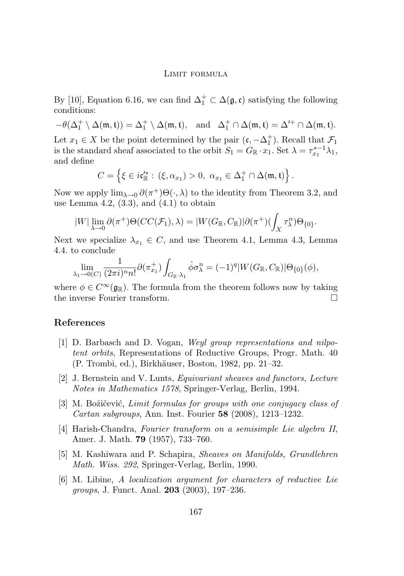<span id="page-15-0"></span>By [\[10\]](#page-16-0), Equation 6.16, we can find  $\Delta_1^+ \subset \Delta(\mathfrak{g}, \mathfrak{c})$  satisfying the following conditions:

 $-\theta(\Delta_1^+ \setminus \Delta(\mathfrak{m},\mathfrak{t})) = \Delta_1^+ \setminus \Delta(\mathfrak{m},\mathfrak{t}), \text{ and } \Delta_1^+ \cap \Delta(\mathfrak{m},\mathfrak{t}) = \Delta'^+ \cap \Delta(\mathfrak{m},\mathfrak{t}).$ Let  $x_1 \in X$  be the point determined by the pair  $(\mathfrak{c}, -\Delta_1^+)$ . Recall that  $\mathcal{F}_1$ is the standard sheaf associated to the orbit  $S_1 = G_{\mathbb{R}} \cdot x_1$ . Set  $\lambda = \tau_{x_1}^{* - 1} \lambda_1$ , and define

$$
C = \left\{ \xi \in i\mathfrak{c}'^*_{\mathbb{R}} : (\xi, \alpha_{x_1}) > 0, \ \alpha_{x_1} \in \Delta_1^+ \cap \Delta(\mathfrak{m}, \mathfrak{t}) \right\}.
$$

Now we apply  $\lim_{\lambda\to 0} \partial(\pi^+) \Theta(\cdot,\lambda)$  to the identity from Theorem 3.2, and use Lemma 4.2,  $(3.3)$ , and  $(4.1)$  to obtain

$$
|W| \lim_{\lambda \to 0} \partial(\pi^+) \Theta(CC(\mathcal{F}_1), \lambda) = |W(G_{\mathbb{R}}, C_{\mathbb{R}})| \partial(\pi^+) (\int_X \tau_\lambda^n) \Theta_{\{0\}}.
$$

Next we specialize  $\lambda_{x_1} \in C$ , and use Theorem 4.1, Lemma 4.3, Lemma 4.4. to conclude

$$
\lim_{\lambda_1 \to 0(C)} \frac{1}{(2\pi i)^n n!} \partial(\pi_{x_1}^+) \int_{G_{\mathbb{R}} \cdot \lambda_1} \hat{\phi} \sigma_\lambda^n = (-1)^q |W(G_{\mathbb{R}}, C_{\mathbb{R}})| \Theta_{\{0\}}(\phi),
$$

where  $\phi \in C^{\infty}(\mathfrak{g}_{\mathbb{R}})$ . The formula from the theorem follows now by taking the inverse Fourier transform.

### **References**

- [1] D. Barbasch and D. Vogan, *Weyl group representations and nilpotent orbits*, Representations of Reductive Groups, Progr. Math. 40 (P. Trombi, ed.), Birkhäuser, Boston, 1982, pp. 21–32.
- [2] J. Bernstein and V. Lunts, *Equivariant sheaves and functors, Lecture Notes in Mathematics 1578*, Springer-Verlag, Berlin, 1994.
- [3] M. Božičević, *Limit formulas for groups with one conjugacy class of Cartan subgroups*, Ann. Inst. Fourier **58** (2008), 1213–1232.
- [4] Harish-Chandra, *Fourier transform on a semisimple Lie algebra II*, Amer. J. Math. **79** (1957), 733–760.
- [5] M. Kashiwara and P. Schapira, *Sheaves on Manifolds, Grundlehren Math. Wiss. 292*, Springer-Verlag, Berlin, 1990.
- [6] M. Libine, *A localization argument for characters of reductive Lie groups*, J. Funct. Anal. **203** (2003), 197–236.